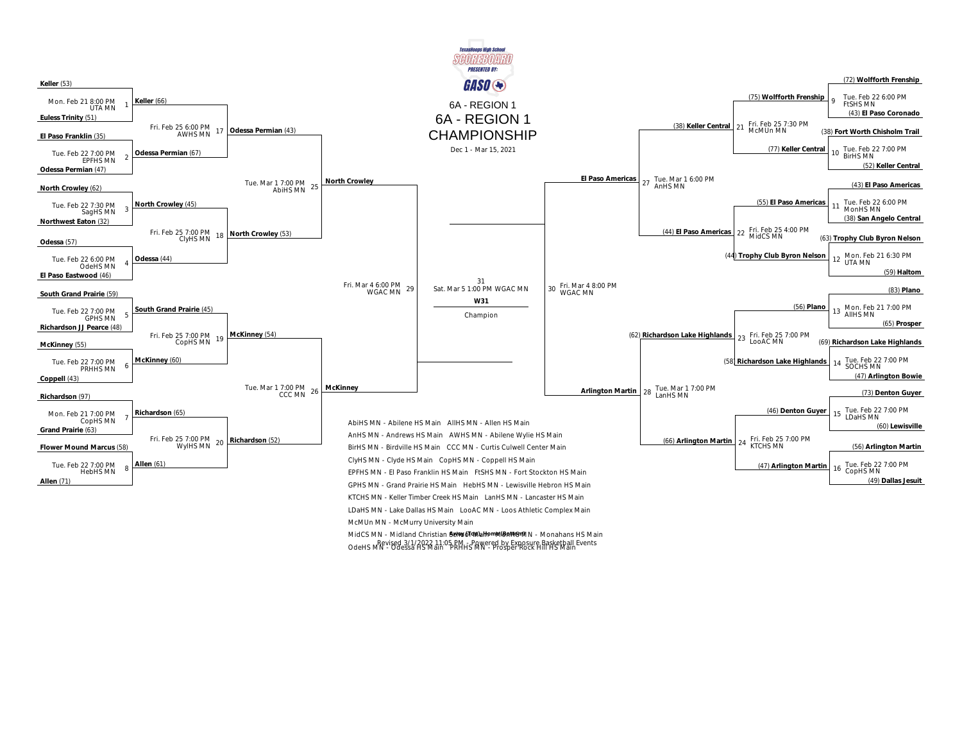

MidCS MN - Midland Christian Sel Mold Mah Mah Mah Mann - Monahans HS Main OdeHS MN - Odessa HS Main PRHHS MN - Prosper Rock Hill HS Main Revised 3/1/2022 11:05 PM - Powered by Exposure Basketball Events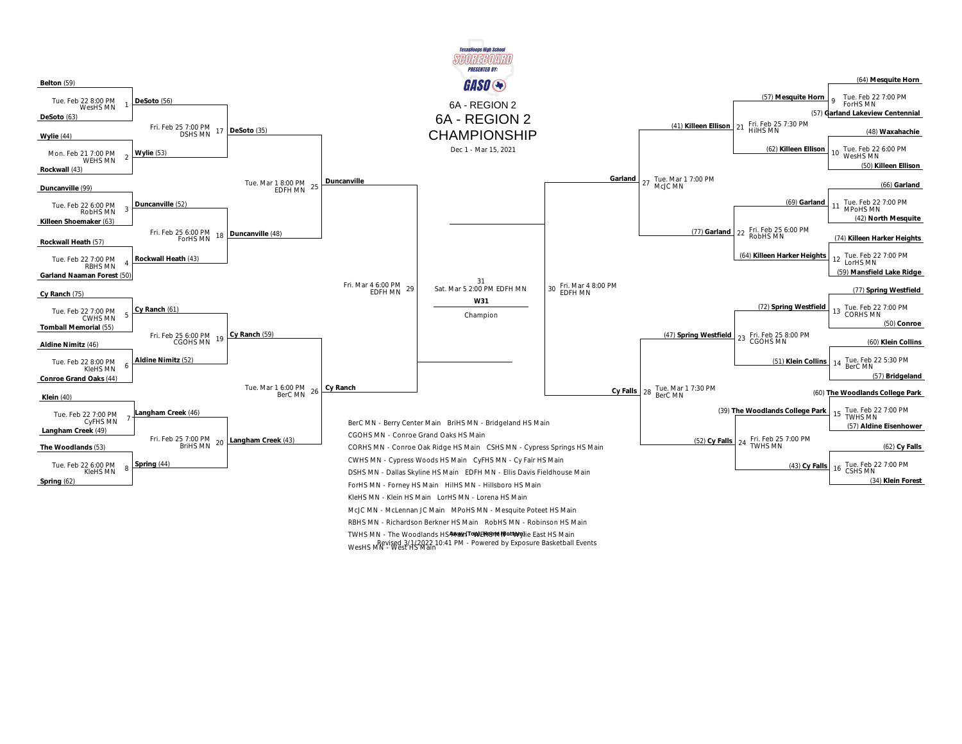

TWHS MN - The Woodlands HS4Wain<sup>(To</sup>1A)E149719119QtMpylie East HS Main WesHS MN - West HS Main Revised 3/1/2022 10:41 PM - Powered by Exposure Basketball Events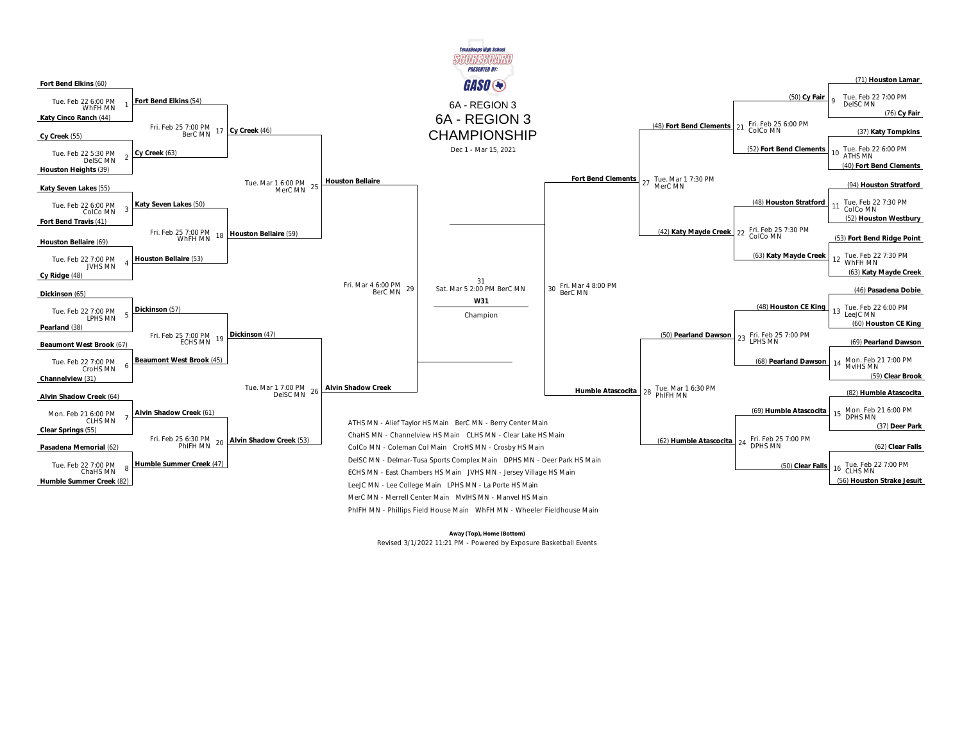

**Away (Top), Home (Bottom)**  Revised 3/1/2022 11:21 PM - Powered by Exposure Basketball Events